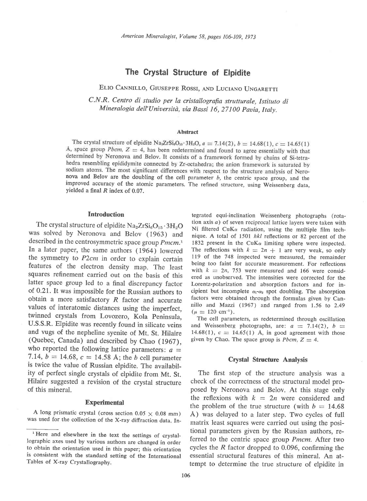# The Crystal Structure of Elpidite

ELIO CANNILLO, GIUSEPPE ROSSI, AND LUCIANO UNGARETTI

C.N.R. Centro di studio per la cristallografia strutturale, Istituto di Mineralogia dell'Università, via Bassi 16, 27100 Pavia, Italy.

#### Abstract

The crystal structure of elpidite Na<sub>2</sub>ZrSi<sub>6</sub>O<sub>15</sub>·3H<sub>2</sub>O,  $a = 7.14(2)$ ,  $b = 14.68(1)$ ,  $c = 14.65(1)$ A, space group Pbcm,  $Z = 4$ , has been redetermined and found to agree essentially with that determined by Neronova and Belov. It consists of a framework formed by chains of Si-tetrahedra resembling epididymite connected by Zr-octahedra; the anion framework is saturated by sodium atoms. The most significant differences with respect to the structure analysis of Neronova and Belov are the doubling of the cell parameter  $b$ , the centric space group, and the improved accuracy of the atomic parameters. The refined structure, using Weissenberg data, yielded a final R index of 0.07.

# **Introduction**

The crystal structure of elpidite  $\text{Na}_2\text{Zr}\text{Si}_6\text{O}_{15}\cdot3\text{H}_2\text{O}$ was solved by Neronova and Belov (1963) and described in the centrosymmetric space group  $Pmcm<sub>1</sub>$ . In a later paper, the same authors (1964) lowered the symmetry to P2cm in order to explain certain features of the electron density map. The least squares refinement carried out on the basis of this latter space group led to a final discrepancy factor ot O.2l.It was impossible for the Russian authors to obtain a more satisfactory  $R$  factor and accurate values of interatomic distances using the imperfect, twinned crystals from Lovozero, Kola peninsula, U.S.S.R. Elpidite was recently found in silicate veins and vugs of the nepheline syenite of Mt. St. Hilaire (Quebec, Canada) and described by Chao (1967), who reported the following lattice parameters:  $a =$ 7.14,  $b = 14.68$ ,  $c = 14.58$  Å; the b cell parameter is twice the value of Russian elpidite. The availability of perfect single crystals of elpidite from Mt. St. Hilaire suggested a revision of the crystal structure of this mineral.

### **Experimental**

A long prismatic crystal (cross section  $0.05 \times 0.08$  mm) was used for the collection of the X-ray diffraction data. In\_

tegrated equi-inclination Weissenberg photographs (rotation axis a) of seven reciprocal lattice layers were taken with Ni filtered CuK $\alpha$  radiation, using the multiple film technique. A total of 1501 hkl reflections or 82 percent of the 1832 present in the CuK $\alpha$  limiting sphere were inspected. The reflections with  $k = 2n + 1$  are very weak, so only 119 of the 748 inspected were measured, the remainder being too faint for accurate measurement. For reflections with  $k = 2n$ , 753 were measured and 166 were considered as unobserved. The intensities were corrected for the Lorentz-polarization and absorption factors and for incipient but incomplete  $\alpha_1 - \alpha_2$  spot doubling. The absorption factors were obtained through the formulas given by Cannillo and Mazzi (1967) and ranged from 1.56 to 2.49  $(\mu = 120 \text{ cm}^{-1}).$ 

The cell parameters, as redetermined through oscillation and Weissenberg photographs, are:  $a = 7.14(2)$ ,  $b =$ 14.68(1),  $c = 14.65(1)$  Å, in good agreement with those given by Chao. The space group is  $Pbcm$ ,  $Z = 4$ .

### Crystal Structure Analysis

The first step of the structure analysis was a check of the correctness of the structural model proposed by Neronova and Belov. At this stage only the reflexions with  $k = 2n$  were considered and the problem of the true structure (with  $b = 14.68$ ) A) was delayed to a later step. Two cycles of full matrix least squares were carried out using the positional parameters given by the Russian authors, referred to the centric space group Pmcm. After two cycles the R factor dropped to 0.096, confirming the essential structural features of this mineral. An attempt to determine the true structure of elpidite in

Here and elsewhere in the text the settings of crystallographic axes used by various authors are changed in order to obtain the orientation used in this paper; this orientation is consistent with the standard setting of the International Tables of X-ray Crystallography.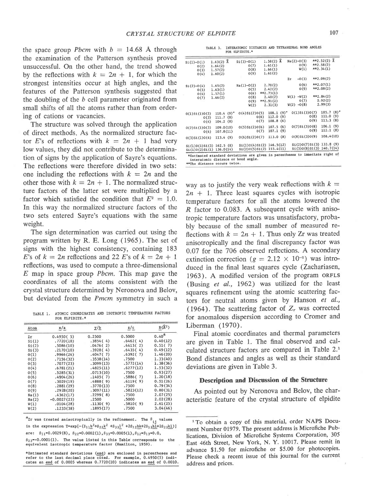the space group Pbcm with  $b = 14.68$  Å through the examination of the Patterson synthesis proved unsuccessful. On the other hand, the trend showed by the reflections with  $k = 2n + 1$ , for which the strongest intensities occur at high angles, and the features of the Patterson synthesis suggested that the doubling of the b cell parameter originated from small shifts of all the atoms rather than from ordering of cations or vacancies.

The structure was solved through the application of direct methods. As the normalized structure factor E's of reflections with  $k = 2n + 1$  had very low values, they did not contribute to the determination of signs by the application of Sayre's equations. The reflections were therefore divided in two sets: one including the reflections with  $k = 2n$  and the other those with  $k = 2n + 1$ . The normalized structure factors of the latter set were multiplied by a factor which satisfied the condition that  $E^2 = 1.0$ . In this way the normalized structure factors of the two sets entered Sayre's equations with the same weight.

The sign determination was carried out using the program written by R. E. Long (1965). The set of signs with the highest consistency, containing 183 E's of  $k = 2n$  reflections and 22 E's of  $k = 2n + 1$ reflections, was used to compute a three-dimensional  $E$  map in space group *Pbcm*. This map gave the coordinates of all the atoms consistent with the crystal structure determined by Neronova and Belov, but deviated from the Pmcm symmetry in such a

TABLE 1. ATOMIC COORDINATES AND ISOTROPIC TEMPERATURE FACTORS FOR BLPIDITE.\*

| Atom     | x/a           | y/b       | z/c       | $B(\lambda^2)$    |  |  |
|----------|---------------|-----------|-----------|-------------------|--|--|
| Zτ       | 0.4950(5)     | 0.2500    | 0.5000    | 0.40 <sup>a</sup> |  |  |
| $S_1(1)$ | .7720(10)     | .3854(4)  | .6462(4)  | 0.40(12)          |  |  |
| 51(2)    | .5086(10)     | .0476(2)  | .6413(2)  | 0.51(7)           |  |  |
| Si(3)    | .2170(10)     | .3928(4)  | .6435(4)  | 0.49(12)          |  |  |
| O(1)     | .9966(26)     | .4047(7)  | .6392(7)  | 1,46(20)          |  |  |
| 0(2)     | .7156(32)     | .3538(14) | .7500     | 1.33(40)          |  |  |
| O(3)     | .7077(23)     | .3099(13) | .5772(14) | 1.38(36)          |  |  |
| O(4)     | .6781(21)     | .4825(11) | .6277(12) | 1.53(32)          |  |  |
| O(5)     | .5285(31)     | .0713(10) | .7500     | 0.93(27)          |  |  |
| O(6)     | .4904(26)     | .1405(7)  | .5886(7)  | 1,20(18)          |  |  |
| O(7)     | .3029(19)     | ,4888(9)  | .6119(9)  | 0.51(26)          |  |  |
| 0(8)     | .2881(29)     | .3770(13) | .7500     | 0.79(34)          |  |  |
| 0(9)     | .2928(20)     | .3097(11) | .5823(12) | 0.80(31)          |  |  |
| Na(1)    | .4362(17)     | .2299(8)  | .7500     | 2,07(25)          |  |  |
| Na(2)    | $-0.0027(23)$ | .2500     | .5000     | 2.02(28)          |  |  |
| W(1)     | .0104(28)     | .1130(9)  | .5810(9)  | 2.61(25)          |  |  |
| W(2)     | .1233(38)     | .1895(17) | .7500     | 3.04(46)          |  |  |

 ${}^{a}$ Zr was treated anisotropically in the refinement. The  ${}^{b}{}_{j,i}$  values in the expression T=exp  $[-(\beta_{11}\frac{h^2+\beta_{22}k^2+\beta_{33}\frac{1}{2}+2\beta_{12}hk+2\beta_{13}hl+2\beta_{23}kl)]$ are:  $\beta_{11} = 0.0029(8)$ ,  $\beta_{22} = 0.0002(1)$ ,  $\beta_{33} = 0.0005(1)$ ,  $\beta_{12} = \beta_{13} = 0.0$ ,  $\beta_{23}$ =-0.0001(1). The value listed in this Table corresponds to the equivalent isotropic temperature factor (Hamilton, 1959).

\*Estimated standard deviations (esd) are enclosed in parentheses and<br>refer to the last decimal place cited. For example, 0.4950(5) indicates an esd of  $0.0005$  whereas  $0.7720(10)$  indicates an esd of  $0.0010$ .

TABLE 3. INTERATOMIC DISTANCES AND TETRAHEDRAL BOND ANGLES FOR ELPIDITE.

| $1.63(2)$ Å<br>$Na(1)-O(2)$<br>$0(4)$ S <sub>1</sub> (2) $0(5)$<br>$110.4(9)$ ° | O(7)<br>O(8)<br>0(9)<br>O(5)<br>0(6)<br>O(8)<br>0(9)<br>W(2) |                                                                     | $1.58(2)$ Å<br>1.61(1)<br>1.66(1)<br>1.61(2)<br>2.70(2)<br>2.42(2)<br>$**2.73(1)$<br>2.40(2)<br>$**2.91(2)$<br>2.31(3) |                    | Zr                                                                                                | O(9)<br>W(1)<br>$-0(3)$<br>O(6)<br>0(9)<br>$W(1) - W(2)$<br>0(7)<br>$W(2) -O(8)$ |      | $**2.58(2)$<br>$**2.34(1)$<br>$**2.09(2)$<br>$**2.07(1)$<br>$**2.08(2)$<br>$**2,84(2)$<br>2.92(2)<br>2.99(3) |                                                                                                                                                                                                 |
|---------------------------------------------------------------------------------|--------------------------------------------------------------|---------------------------------------------------------------------|------------------------------------------------------------------------------------------------------------------------|--------------------|---------------------------------------------------------------------------------------------------|----------------------------------------------------------------------------------|------|--------------------------------------------------------------------------------------------------------------|-------------------------------------------------------------------------------------------------------------------------------------------------------------------------------------------------|
|                                                                                 |                                                              |                                                                     |                                                                                                                        |                    |                                                                                                   |                                                                                  |      |                                                                                                              |                                                                                                                                                                                                 |
|                                                                                 |                                                              |                                                                     |                                                                                                                        |                    |                                                                                                   |                                                                                  |      |                                                                                                              |                                                                                                                                                                                                 |
|                                                                                 |                                                              |                                                                     |                                                                                                                        |                    |                                                                                                   |                                                                                  |      |                                                                                                              |                                                                                                                                                                                                 |
|                                                                                 |                                                              |                                                                     |                                                                                                                        |                    |                                                                                                   |                                                                                  |      |                                                                                                              |                                                                                                                                                                                                 |
|                                                                                 |                                                              |                                                                     |                                                                                                                        |                    |                                                                                                   |                                                                                  |      |                                                                                                              |                                                                                                                                                                                                 |
|                                                                                 |                                                              |                                                                     |                                                                                                                        |                    |                                                                                                   |                                                                                  |      |                                                                                                              |                                                                                                                                                                                                 |
|                                                                                 |                                                              |                                                                     |                                                                                                                        |                    |                                                                                                   |                                                                                  |      |                                                                                                              |                                                                                                                                                                                                 |
|                                                                                 |                                                              |                                                                     |                                                                                                                        |                    |                                                                                                   |                                                                                  |      |                                                                                                              |                                                                                                                                                                                                 |
|                                                                                 |                                                              |                                                                     |                                                                                                                        |                    |                                                                                                   |                                                                                  |      |                                                                                                              |                                                                                                                                                                                                 |
|                                                                                 |                                                              |                                                                     |                                                                                                                        |                    |                                                                                                   |                                                                                  |      |                                                                                                              |                                                                                                                                                                                                 |
|                                                                                 |                                                              |                                                                     | $108.1(9)$ °                                                                                                           |                    |                                                                                                   | $0(1)$ S <sub>1</sub> $(3)0(7)$                                                  |      | $105.7(8)$ <sup>o</sup>                                                                                      |                                                                                                                                                                                                 |
| 111.7(8)                                                                        |                                                              |                                                                     |                                                                                                                        |                    |                                                                                                   |                                                                                  | O(8) | 111.0                                                                                                        | (9)                                                                                                                                                                                             |
| 104.2(8)                                                                        |                                                              |                                                                     |                                                                                                                        |                    |                                                                                                   |                                                                                  | O(9) |                                                                                                              | (8)                                                                                                                                                                                             |
|                                                                                 |                                                              |                                                                     |                                                                                                                        |                    |                                                                                                   |                                                                                  |      |                                                                                                              |                                                                                                                                                                                                 |
| 107.8(11)                                                                       |                                                              |                                                                     |                                                                                                                        |                    |                                                                                                   |                                                                                  | 0(9) |                                                                                                              |                                                                                                                                                                                                 |
| 113.4(9)                                                                        |                                                              |                                                                     |                                                                                                                        |                    |                                                                                                   |                                                                                  |      |                                                                                                              |                                                                                                                                                                                                 |
|                                                                                 |                                                              |                                                                     |                                                                                                                        |                    |                                                                                                   |                                                                                  |      |                                                                                                              |                                                                                                                                                                                                 |
| 136.0(14)                                                                       |                                                              |                                                                     |                                                                                                                        |                    |                                                                                                   |                                                                                  |      |                                                                                                              |                                                                                                                                                                                                 |
|                                                                                 | 109.0(10)<br>Si(1)0(1)Si(3) 162.5 (8)                        | interatomic distance or bond angle.<br>**The distance occurs twice. | 0(6)<br>O(7)<br>$0(5)$ S <sub>1</sub> $(2)0(6)$<br>0(7)<br>$0(6)$ Si $(2)0(7)$                                         | $S_1(2)0(5)S_1(2)$ | 112.0(9)<br>108.8(6)<br>107.5(6)<br>107.1(9)<br>113.0(8)<br>Si(1)0(4)Si(2) 146.5(12)<br>153.4(11) |                                                                                  |      | 0(7)51(3)0(8)<br>0(8)Si(3)0(9)                                                                               | 113.3<br>106.1(9)<br>112.1(8)<br>108.4(10)<br>$S_1(2)0(7)S_1(3)$ 133.8 (9)<br>140, 7(14)<br>$S_1(3)0(8)S_1(3)$<br>*Estimated standard deviations are given in parentheses to immediate right of |

way as to justify the very weak reflections with  $k =$  $2n + 1$ . Three least squares cycles with isotropic temperature factors for all the atoms lowered the R factor to 0.083. A subsequent cycle with anisotropic temperature factors was unsatisfactory, probably because of the small number of measured reflections with  $k = 2n + 1$ . Thus only Zr was treated anisotropically and the final discrepancy factor was 0.07 for the 706 observed reflections. A secondary extinction correction ( $g = 2.12 \times 10^{-6}$ ) was introduced in the final least squares cycle (Zachariasen, 1963). A modified version of the program oRFLs (Busing et al., 1962) was utilized for the least squares refinement using the atomic scattering factors for neutral atoms given by Hanson et al., (1964). The scattering factor of  $Z_r$  was corrected for anomalous dispersion according to Cromer and Liberman (1970).

Final atomic coordinates and thermal parameters are given in Table 1. The final observed and calculated structure factors are compared in Table 2.' Bond distances and angles as well as their standard deviations are given in Table 3.

#### Description and Discussion of the Structure

As pointed out by Neronova and Belov, the characteristic feature of the crystal structure of elpidite

<sup>&</sup>lt;sup>1</sup>To obtain a copy of this material, order NAPS Document Number 01979. The present address is Microfiche Publications, Division of Microfiche Systems Corporation, 305 East 46th Street, New York, N. Y. 10017. Please remit in advance \$1.50 for microfiche or \$5.00 for photocopies. Please check a recent issue of this journal for the current address and prices.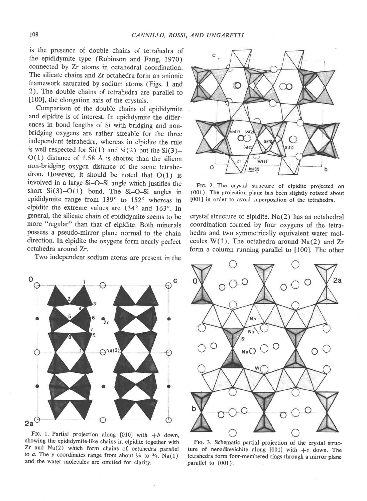is the presence of double chains of tetrahedra of the epididymite type (Robinson and Fang, 1970) connected by Zr atoms in octahedral coordination. The silicate chains and Zr octahedra form an anionic framework saturated by sodium atoms (Figs. 1 and 2). The double chains of tetrahedra are parallel to [100], the elongation axis of the crystals.

Comparison of the double chains of epididymite and elpidite is of interest. In epididymite the differences in bond lengths of Si with bridging and nonbridging oxygens are rather sizeable for the three independent tetrahedra, whereas in elpidite the rule is well respected for  $Si(1)$  and  $Si(2)$  but the  $Si(3)$ - $O(1)$  distance of 1.58 Å is shorter than the silicon non-bridging oxygen distance of the same tetrahedron. However, it should be noted that  $O(1)$  is involved in a large Si-O-Si angle which justifies the short  $Si(3)$ -O(1) bond. The Si-O-Si angles in epididymite range from 139° to 152° whereas in elpidite the extreme values are  $134^\circ$  and  $163^\circ$ . In general, the silicate chain of epididymite seems to be more "regular" than that of elpidite. Both minerals possess a pseudo-mirror plane normal to the chain direction. In elpidite the oxygens form nearly perfect octahedra around Zr.

Two independent sodium atoms are present in the



FIG. 1. Partial projection along [010] with  $+b$  down, showing the epididymite-like chains in elpidite together with Zr and Na(2) which form chains of octahedra parallel to a. The y coordinates range from about  $\frac{1}{4}$  to  $\frac{3}{4}$ . Na(1) and the water molecules are omitted for clarity.



FIG. 2. The crystal structure of elpidite projected on (001). The projection plane has been slightly rotated about [001] in order to avoid superposition of the tetrahedra.

crystal structure of elpidite. Na(2) has an octahedral coordination formed by four oxygens of the tetrahedra and two symmetrically eguivalent water molecules  $W(1)$ . The octahedra around Na(2) and Zr form a column running parallel to [100]. The other



FIc. 3. Schematic partial projection of the crystal structure of nenadkevichite along  $[001]$  with  $+c$  down. The tetrahedra form four-membered rings through a mirror plane parallel to (001).